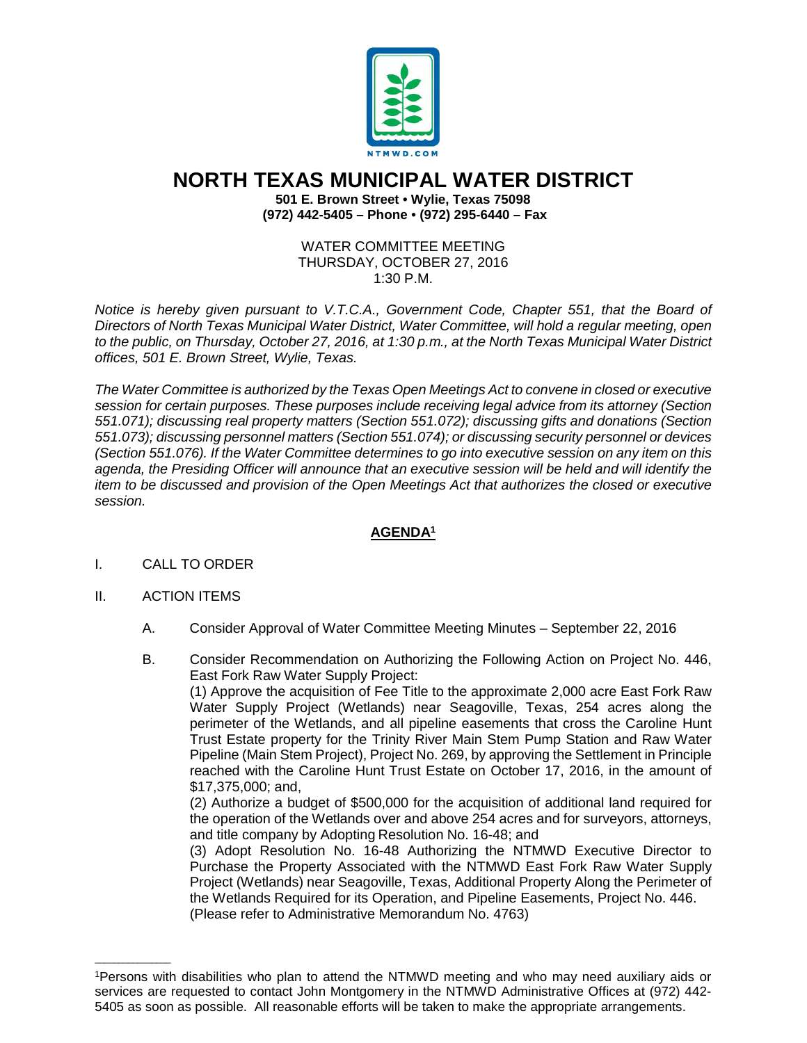

# **NORTH TEXAS MUNICIPAL WATER DISTRICT**

**501 E. Brown Street • Wylie, Texas 75098 (972) 442-5405 – Phone • (972) 295-6440 – Fax**

#### WATER COMMITTEE MEETING THURSDAY, OCTOBER 27, 2016 1:30 P.M.

*Notice is hereby given pursuant to V.T.C.A., Government Code, Chapter 551, that the Board of Directors of North Texas Municipal Water District, Water Committee, will hold a regular meeting, open to the public, on Thursday, October 27, 2016, at 1:30 p.m., at the North Texas Municipal Water District offices, 501 E. Brown Street, Wylie, Texas.*

*The Water Committee is authorized by the Texas Open Meetings Act to convene in closed or executive session for certain purposes. These purposes include receiving legal advice from its attorney (Section 551.071); discussing real property matters (Section 551.072); discussing gifts and donations (Section 551.073); discussing personnel matters (Section 551.074); or discussing security personnel or devices (Section 551.076). If the Water Committee determines to go into executive session on any item on this agenda, the Presiding Officer will announce that an executive session will be held and will identify the item to be discussed and provision of the Open Meetings Act that authorizes the closed or executive session.*

## **AGENDA1**

### I. CALL TO ORDER

### II. ACTION ITEMS

\_\_\_\_\_\_\_\_\_\_\_\_\_\_\_\_

- A. Consider Approval of Water Committee Meeting Minutes September 22, 2016
- B. Consider Recommendation on Authorizing the Following Action on Project No. 446, East Fork Raw Water Supply Project:

(1) Approve the acquisition of Fee Title to the approximate 2,000 acre East Fork Raw Water Supply Project (Wetlands) near Seagoville, Texas, 254 acres along the perimeter of the Wetlands, and all pipeline easements that cross the Caroline Hunt Trust Estate property for the Trinity River Main Stem Pump Station and Raw Water Pipeline (Main Stem Project), Project No. 269, by approving the Settlement in Principle reached with the Caroline Hunt Trust Estate on October 17, 2016, in the amount of \$17,375,000; and,

(2) Authorize a budget of \$500,000 for the acquisition of additional land required for the operation of the Wetlands over and above 254 acres and for surveyors, attorneys, and title company by Adopting Resolution No. 16-48; and

(3) Adopt Resolution No. 16-48 Authorizing the NTMWD Executive Director to Purchase the Property Associated with the NTMWD East Fork Raw Water Supply Project (Wetlands) near Seagoville, Texas, Additional Property Along the Perimeter of the Wetlands Required for its Operation, and Pipeline Easements, Project No. 446. (Please refer to Administrative Memorandum No. 4763)

<sup>1</sup>Persons with disabilities who plan to attend the NTMWD meeting and who may need auxiliary aids or services are requested to contact John Montgomery in the NTMWD Administrative Offices at (972) 442- 5405 as soon as possible. All reasonable efforts will be taken to make the appropriate arrangements.